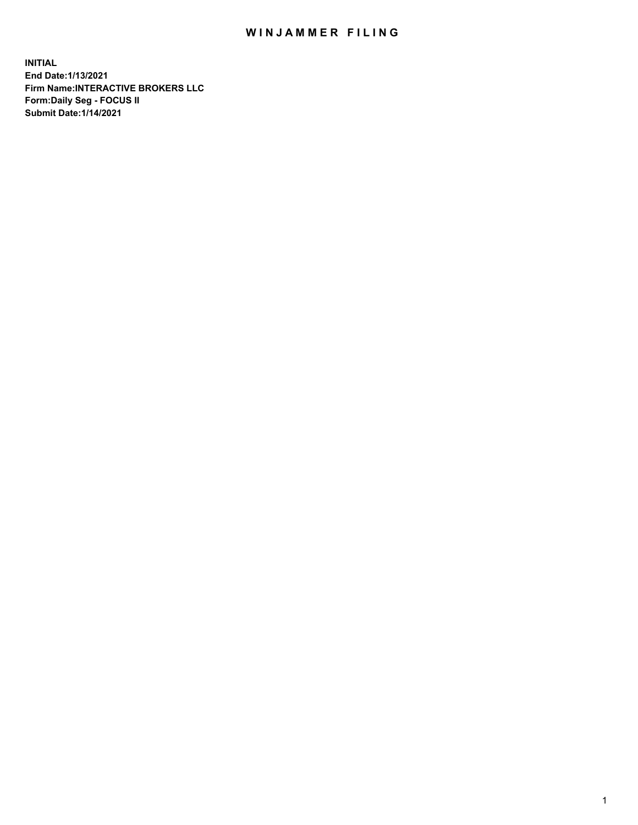## WIN JAMMER FILING

**INITIAL End Date:1/13/2021 Firm Name:INTERACTIVE BROKERS LLC Form:Daily Seg - FOCUS II Submit Date:1/14/2021**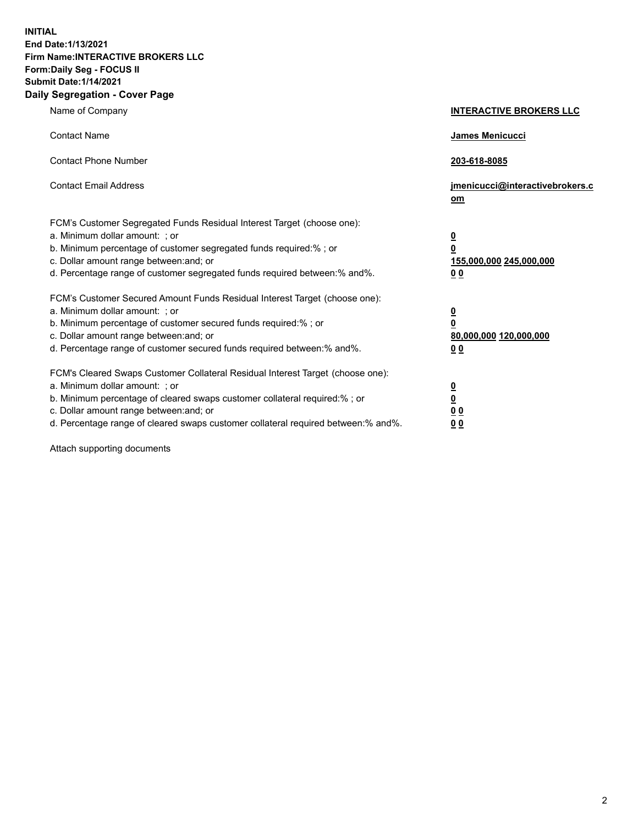**INITIAL End Date:1/13/2021 Firm Name:INTERACTIVE BROKERS LLC Form:Daily Seg - FOCUS II Submit Date:1/14/2021 Daily Segregation - Cover Page**

| Name of Company                                                                                                                                                                                                                                                                                                                | <b>INTERACTIVE BROKERS LLC</b>                                                            |
|--------------------------------------------------------------------------------------------------------------------------------------------------------------------------------------------------------------------------------------------------------------------------------------------------------------------------------|-------------------------------------------------------------------------------------------|
| <b>Contact Name</b>                                                                                                                                                                                                                                                                                                            | James Menicucci                                                                           |
| <b>Contact Phone Number</b>                                                                                                                                                                                                                                                                                                    | 203-618-8085                                                                              |
| <b>Contact Email Address</b>                                                                                                                                                                                                                                                                                                   | jmenicucci@interactivebrokers.c<br>om                                                     |
| FCM's Customer Segregated Funds Residual Interest Target (choose one):<br>a. Minimum dollar amount: ; or<br>b. Minimum percentage of customer segregated funds required:% ; or<br>c. Dollar amount range between: and; or<br>d. Percentage range of customer segregated funds required between:% and%.                         | <u>0</u><br>$\overline{\mathbf{0}}$<br>155,000,000 245,000,000<br>0 <sub>0</sub>          |
| FCM's Customer Secured Amount Funds Residual Interest Target (choose one):<br>a. Minimum dollar amount: ; or<br>b. Minimum percentage of customer secured funds required:% ; or<br>c. Dollar amount range between: and; or<br>d. Percentage range of customer secured funds required between:% and%.                           | $\overline{\mathbf{0}}$<br>$\overline{\mathbf{0}}$<br>80,000,000 120,000,000<br><u>00</u> |
| FCM's Cleared Swaps Customer Collateral Residual Interest Target (choose one):<br>a. Minimum dollar amount: ; or<br>b. Minimum percentage of cleared swaps customer collateral required:% ; or<br>c. Dollar amount range between: and; or<br>d. Percentage range of cleared swaps customer collateral required between:% and%. | $\frac{0}{0}$<br>$\underline{0}$ $\underline{0}$<br>0 <sub>0</sub>                        |

Attach supporting documents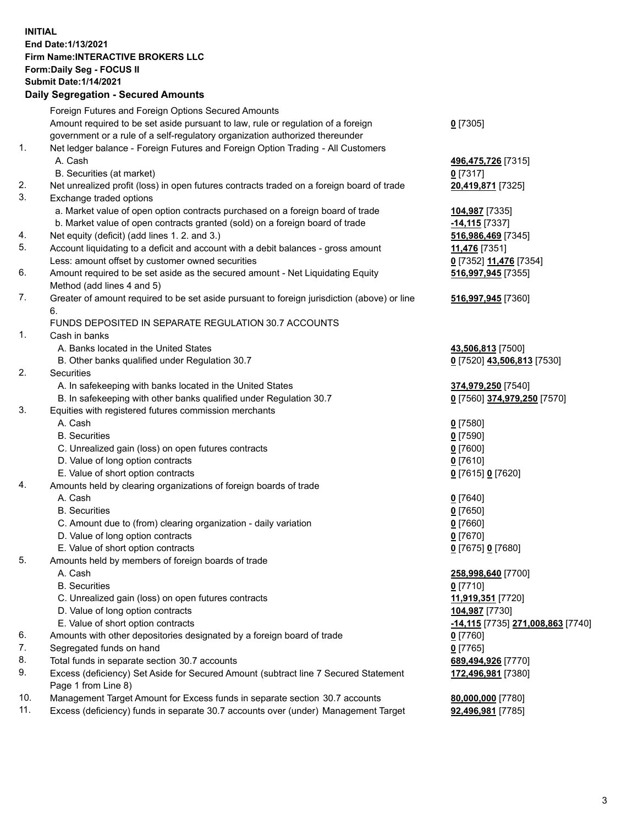## **INITIAL End Date:1/13/2021 Firm Name:INTERACTIVE BROKERS LLC Form:Daily Seg - FOCUS II Submit Date:1/14/2021 Daily Segregation - Secured Amounts**

|                | Daily Jegregation - Jeculed Aniounts                                                                       |                                          |
|----------------|------------------------------------------------------------------------------------------------------------|------------------------------------------|
|                | Foreign Futures and Foreign Options Secured Amounts                                                        |                                          |
|                | Amount required to be set aside pursuant to law, rule or regulation of a foreign                           | $0$ [7305]                               |
|                | government or a rule of a self-regulatory organization authorized thereunder                               |                                          |
| $\mathbf{1}$ . | Net ledger balance - Foreign Futures and Foreign Option Trading - All Customers                            |                                          |
|                | A. Cash                                                                                                    | 496,475,726 [7315]                       |
|                | B. Securities (at market)                                                                                  | 0 [7317]                                 |
| 2.             | Net unrealized profit (loss) in open futures contracts traded on a foreign board of trade                  | 20,419,871 [7325]                        |
| 3.             | Exchange traded options                                                                                    |                                          |
|                | a. Market value of open option contracts purchased on a foreign board of trade                             | 104,987 [7335]                           |
|                | b. Market value of open contracts granted (sold) on a foreign board of trade                               | -14,115 [7337]                           |
| 4.             | Net equity (deficit) (add lines 1. 2. and 3.)                                                              | 516,986,469 [7345]                       |
| 5.             | Account liquidating to a deficit and account with a debit balances - gross amount                          | 11,476 [7351]                            |
|                | Less: amount offset by customer owned securities                                                           | 0 [7352] 11,476 [7354]                   |
| 6.             | Amount required to be set aside as the secured amount - Net Liquidating Equity                             | 516,997,945 [7355]                       |
|                | Method (add lines 4 and 5)                                                                                 |                                          |
| 7.             | Greater of amount required to be set aside pursuant to foreign jurisdiction (above) or line                | 516,997,945 [7360]                       |
|                | 6.                                                                                                         |                                          |
|                | FUNDS DEPOSITED IN SEPARATE REGULATION 30.7 ACCOUNTS                                                       |                                          |
| 1.             | Cash in banks                                                                                              |                                          |
|                | A. Banks located in the United States                                                                      | 43,506,813 [7500]                        |
|                | B. Other banks qualified under Regulation 30.7                                                             | 0 [7520] 43,506,813 [7530]               |
| 2.             | Securities                                                                                                 |                                          |
|                | A. In safekeeping with banks located in the United States                                                  | 374,979,250 [7540]                       |
|                | B. In safekeeping with other banks qualified under Regulation 30.7                                         | 0 [7560] 374,979,250 [7570]              |
| 3.             | Equities with registered futures commission merchants                                                      |                                          |
|                | A. Cash                                                                                                    | $0$ [7580]                               |
|                | <b>B.</b> Securities                                                                                       | $0$ [7590]                               |
|                | C. Unrealized gain (loss) on open futures contracts                                                        | $0$ [7600]                               |
|                | D. Value of long option contracts                                                                          | $0$ [7610]                               |
|                | E. Value of short option contracts                                                                         | 0 [7615] 0 [7620]                        |
| 4.             | Amounts held by clearing organizations of foreign boards of trade                                          |                                          |
|                | A. Cash                                                                                                    | $0$ [7640]                               |
|                | <b>B.</b> Securities                                                                                       | $0$ [7650]                               |
|                | C. Amount due to (from) clearing organization - daily variation                                            | $0$ [7660]                               |
|                | D. Value of long option contracts                                                                          | $0$ [7670]                               |
|                | E. Value of short option contracts                                                                         | 0 [7675] 0 [7680]                        |
| 5.             | Amounts held by members of foreign boards of trade                                                         |                                          |
|                | A. Cash                                                                                                    | 258,998,640 [7700]                       |
|                | <b>B.</b> Securities                                                                                       | $0$ [7710]                               |
|                | C. Unrealized gain (loss) on open futures contracts                                                        | 11,919,351 [7720]                        |
|                | D. Value of long option contracts                                                                          | 104,987 [7730]                           |
|                | E. Value of short option contracts                                                                         | <u>-14,115</u> [7735] 271,008,863 [7740] |
| 6.             | Amounts with other depositories designated by a foreign board of trade                                     | 0 [7760]                                 |
| 7.             | Segregated funds on hand                                                                                   | $0$ [7765]                               |
| 8.             | Total funds in separate section 30.7 accounts                                                              | 689,494,926 [7770]                       |
| 9.             | Excess (deficiency) Set Aside for Secured Amount (subtract line 7 Secured Statement<br>Page 1 from Line 8) | 172,496,981 [7380]                       |
| 10.            | Management Target Amount for Excess funds in separate section 30.7 accounts                                | 80,000,000 [7780]                        |
| 11.            | Excess (deficiency) funds in separate 30.7 accounts over (under) Management Target                         | 92,496,981 [7785]                        |
|                |                                                                                                            |                                          |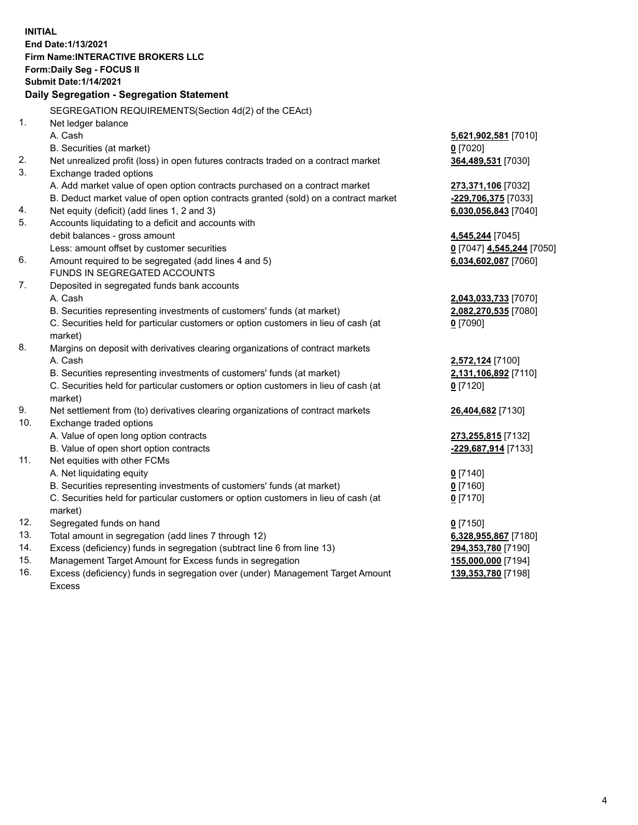**INITIAL End Date:1/13/2021 Firm Name:INTERACTIVE BROKERS LLC Form:Daily Seg - FOCUS II Submit Date:1/14/2021 Daily Segregation - Segregation Statement** SEGREGATION REQUIREMENTS(Section 4d(2) of the CEAct) 1. Net ledger balance A. Cash **5,621,902,581** [7010] B. Securities (at market) **0** [7020] 2. Net unrealized profit (loss) in open futures contracts traded on a contract market **364,489,531** [7030] 3. Exchange traded options A. Add market value of open option contracts purchased on a contract market **273,371,106** [7032] B. Deduct market value of open option contracts granted (sold) on a contract market **-229,706,375** [7033] 4. Net equity (deficit) (add lines 1, 2 and 3) **6,030,056,843** [7040] 5. Accounts liquidating to a deficit and accounts with debit balances - gross amount **4,545,244** [7045] Less: amount offset by customer securities **0** [7047] **4,545,244** [7050] 6. Amount required to be segregated (add lines 4 and 5) **6,034,602,087** [7060] FUNDS IN SEGREGATED ACCOUNTS 7. Deposited in segregated funds bank accounts A. Cash **2,043,033,733** [7070] B. Securities representing investments of customers' funds (at market) **2,082,270,535** [7080] C. Securities held for particular customers or option customers in lieu of cash (at market) **0** [7090] 8. Margins on deposit with derivatives clearing organizations of contract markets A. Cash **2,572,124** [7100] B. Securities representing investments of customers' funds (at market) **2,131,106,892** [7110] C. Securities held for particular customers or option customers in lieu of cash (at market) **0** [7120] 9. Net settlement from (to) derivatives clearing organizations of contract markets **26,404,682** [7130] 10. Exchange traded options A. Value of open long option contracts **273,255,815** [7132] B. Value of open short option contracts **-229,687,914** [7133] 11. Net equities with other FCMs A. Net liquidating equity **0** [7140] B. Securities representing investments of customers' funds (at market) **0** [7160] C. Securities held for particular customers or option customers in lieu of cash (at market) **0** [7170] 12. Segregated funds on hand **0** [7150] 13. Total amount in segregation (add lines 7 through 12) **6,328,955,867** [7180] 14. Excess (deficiency) funds in segregation (subtract line 6 from line 13) **294,353,780** [7190] 15. Management Target Amount for Excess funds in segregation **155,000,000** [7194] 16. Excess (deficiency) funds in segregation over (under) Management Target Amount **139,353,780** [7198]

Excess